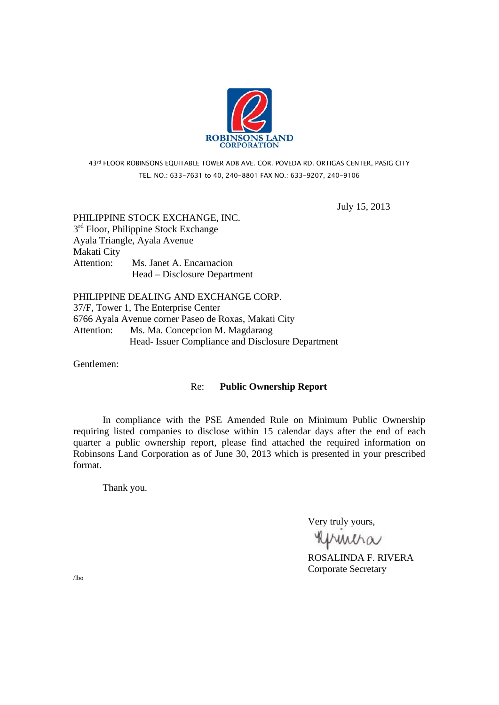

43rd FLOOR ROBINSONS EQUITABLE TOWER ADB AVE. COR. POVEDA RD. ORTIGAS CENTER, PASIG CITY TEL. NO.: 633-7631 to 40, 240-8801 FAX NO.: 633-9207, 240-9106

July 15, 2013

PHILIPPINE STOCK EXCHANGE, INC.  $3<sup>rd</sup>$  Floor, Philippine Stock Exchange Ayala Triangle, Ayala Avenue Makati City Attention: Ms. Janet A. Encarnacion Head – Disclosure Department

PHILIPPINE DEALING AND EXCHANGE CORP. 37/F, Tower 1, The Enterprise Center 6766 Ayala Avenue corner Paseo de Roxas, Makati City Attention: Ms. Ma. Concepcion M. Magdaraog Head- Issuer Compliance and Disclosure Department

Gentlemen:

# Re: **Public Ownership Report**

 In compliance with the PSE Amended Rule on Minimum Public Ownership requiring listed companies to disclose within 15 calendar days after the end of each quarter a public ownership report, please find attached the required information on Robinsons Land Corporation as of June 30, 2013 which is presented in your prescribed format.

Thank you.

Very truly yours,

**RUMMA**<br>ROSALINDA F. RIVERA

Corporate Secretary

/lbo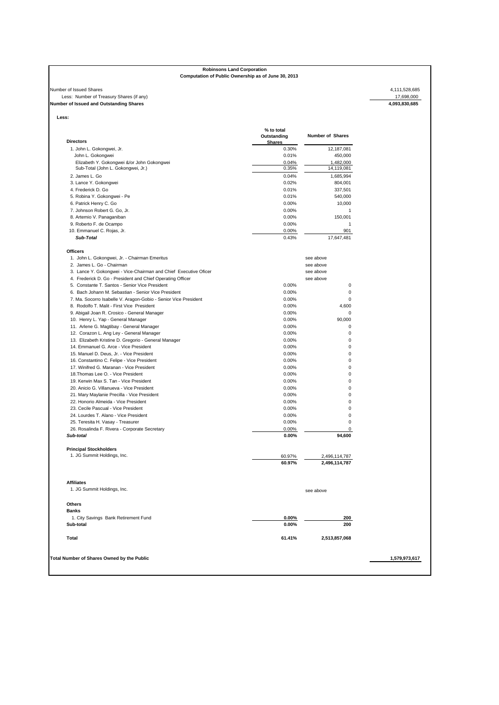## **Robinsons Land Corporation Computation of Public Ownership as of June 30, 2013**

### Number of Issued Shares 4,111,528,685<br>Less: Number of Treasury Shares (if any)<br>**Number of Issued and Outstanding Shares** 4,093,830,685<br>**4,093,830,685**<br>**4,093,830,685** Less: Number of Treasury Shares (if any) **Number of Issued and Outstanding Shares 4,093,830,685**

| e<br>. .<br>$\sim$ |  |
|--------------------|--|

| <b>Directors</b>                                                 | % to total<br>Outstanding<br><b>Shares</b> | <b>Number of Shares</b> |
|------------------------------------------------------------------|--------------------------------------------|-------------------------|
| 1. John L. Gokongwei, Jr.                                        | 0.30%                                      | 12,187,081              |
| John L. Gokongwei                                                | 0.01%                                      | 450,000                 |
| Elizabeth Y. Gokongwei &/or John Gokongwei                       | 0.04%                                      | 1,482,000               |
| Sub-Total (John L. Gokongwei, Jr.)                               | 0.35%                                      | 14,119,081              |
| 2. James L. Go                                                   | 0.04%                                      | 1,685,994               |
| 3. Lance Y. Gokongwei                                            | 0.02%                                      | 804,001                 |
| 4. Frederick D. Go                                               | 0.01%                                      | 337,501                 |
| 5. Robina Y. Gokongwei - Pe                                      | 0.01%                                      | 540,000                 |
|                                                                  | 0.00%                                      |                         |
| 6. Patrick Henry C. Go                                           | 0.00%                                      | 10,000<br>$\mathbf{1}$  |
| 7. Johnson Robert G. Go, Jr.                                     |                                            |                         |
| 8. Artemio V. Panaganiban                                        | 0.00%                                      | 150,001                 |
| 9. Roberto F. de Ocampo                                          | 0.00%                                      | $\overline{1}$          |
| 10. Emmanuel C. Rojas, Jr.<br>Sub-Total                          | 0.00%<br>0.43%                             | 901<br>17,647,481       |
|                                                                  |                                            |                         |
| <b>Officers</b><br>1. John L. Gokongwei, Jr. - Chairman Emeritus |                                            | see above               |
| 2. James L. Go - Chairman                                        |                                            | see above               |
| 3. Lance Y. Gokongwei - Vice-Chairman and Chief Executive Oficer |                                            | see above               |
| 4. Frederick D. Go - President and Chief Operating Officer       |                                            | see above               |
| 5. Constante T. Santos - Senior Vice President                   |                                            |                         |
|                                                                  | 0.00%                                      | 0<br>$\mathbf 0$        |
| 6. Bach Johann M. Sebastian - Senior Vice President              | 0.00%<br>0.00%                             | $\mathbf 0$             |
| 7. Ma. Socorro Isabelle V. Aragon-Gobio - Senior Vice President  |                                            |                         |
| 8. Rodolfo T. Malit - First Vice President                       | 0.00%                                      | 4,600                   |
| 9. Abigail Joan R. Crosico - General Manager                     | 0.00%                                      | $\mathbf 0$             |
| 10. Henry L. Yap - General Manager                               | 0.00%                                      | 90,000                  |
| 11. Arlene G. Magtibay - General Manager                         | 0.00%                                      | $\mathbf 0$             |
| 12. Corazon L. Ang Ley - General Manager                         | 0.00%                                      | $\mathbf 0$             |
| 13. Elizabeth Kristine D. Gregorio - General Manager             | 0.00%                                      | $\mathbf 0$             |
| 14. Emmanuel G. Arce - Vice President                            | 0.00%                                      | $\mathbf 0$             |
| 15. Manuel D. Deus, Jr. - Vice President                         | 0.00%                                      | $\mathbf 0$             |
| 16. Constantino C. Felipe - Vice President                       | 0.00%                                      | $\pmb{0}$               |
| 17. Winifred G. Maranan - Vice President                         | 0.00%                                      | $\mathbf 0$             |
| 18. Thomas Lee O. - Vice President                               | 0.00%                                      | $\mathbf 0$             |
| 19. Kerwin Max S. Tan - Vice President                           | 0.00%                                      | $\mathbf 0$             |
| 20. Anicio G. Villanueva - Vice President                        | 0.00%                                      | $\mathbf 0$             |
| 21. Mary Maylanie Precilla - Vice President                      | 0.00%                                      | $\mathbf 0$             |
| 22. Honorio Almeida - Vice President                             | 0.00%                                      | $\mathbf 0$             |
| 23. Cecile Pascual - Vice President                              | 0.00%                                      | $\mathbf 0$             |
| 24. Lourdes T. Alano - Vice President                            | 0.00%                                      | $\mathbf 0$             |
| 25. Teresita H. Vasay - Treasurer                                | 0.00%                                      | $\pmb{0}$               |
| 26. Rosalinda F. Rivera - Corporate Secretary                    | 0.00%                                      | 0                       |
| Sub-total                                                        | $0.00\%$                                   | 94,600                  |
| <b>Principal Stockholders</b>                                    |                                            |                         |
| 1. JG Summit Holdings, Inc.                                      | 60.97%                                     | 2,496,114,787           |
|                                                                  | 60.97%                                     | 2,496,114,787           |
|                                                                  |                                            |                         |
| <b>Affiliates</b><br>1. JG Summit Holdings, Inc.                 |                                            | see above               |
|                                                                  |                                            |                         |
| Others                                                           |                                            |                         |
| <b>Banks</b>                                                     |                                            |                         |
| 1. City Savings Bank Retirement Fund<br>Sub-total                | 0.00%<br>0.00%                             | 200<br>200              |
|                                                                  |                                            |                         |
|                                                                  | 61.41%                                     | 2,513,857,068           |
| <b>Total</b>                                                     |                                            |                         |